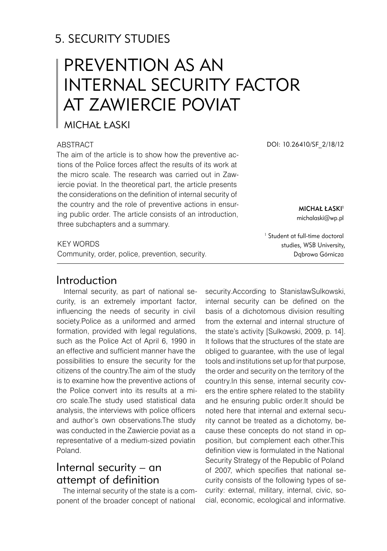# 5. SECURITY STUDIES

# PREVENTION AS AN INTERNAL SECURITY FACTOR AT ZAWIERCIE POVIAT

### MICHAŁ ŁASKI

#### **ABSTRACT**

The aim of the article is to show how the preventive actions of the Police forces affect the results of its work at the micro scale. The research was carried out in Zawiercie poviat. In the theoretical part, the article presents the considerations on the definition of internal security of the country and the role of preventive actions in ensuring public order. The article consists of an introduction, three subchapters and a summary.

#### KFY WORDS

Community, order, police, prevention, security.

## Introduction

Internal security, as part of national security, is an extremely important factor, influencing the needs of security in civil society.Police as a uniformed and armed formation, provided with legal regulations, such as the Police Act of April 6, 1990 in an effective and sufficient manner have the possibilities to ensure the security for the citizens of the country.The aim of the study is to examine how the preventive actions of the Police convert into its results at a micro scale.The study used statistical data analysis, the interviews with police officers and author's own observations.The study was conducted in the Zawiercie poviat as a representative of a medium-sized poviatin Poland.

# Internal security – an attempt of definition

The internal security of the state is a component of the broader concept of national

DOI: 10.26410/SF\_2/18/12

**MICHAŁ ŁASKI<sup>1</sup>** michalaski@wp.pl

<sup>1</sup> Student at full-time doctoral studies, WSB University, Dąbrowa Górnicza

security.According to StanisławSulkowski, internal security can be defined on the basis of a dichotomous division resulting from the external and internal structure of the state's activity [Sulkowski, 2009, p. 14]. It follows that the structures of the state are obliged to guarantee, with the use of legal tools and institutions set up for that purpose, the order and security on the territory of the country.In this sense, internal security covers the entire sphere related to the stability and he ensuring public order.It should be noted here that internal and external security cannot be treated as a dichotomy, because these concepts do not stand in opposition, but complement each other.This definition view is formulated in the National Security Strategy of the Republic of Poland of 2007, which specifies that national security consists of the following types of security: external, military, internal, civic, social, economic, ecological and informative.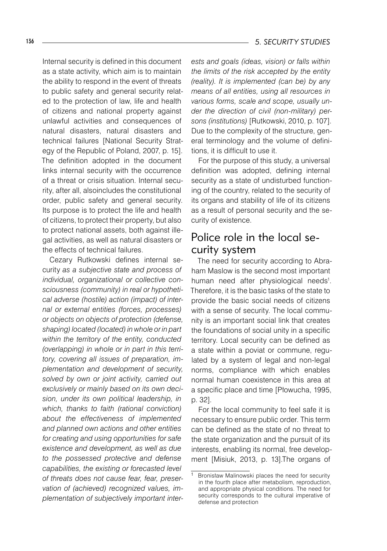#### 136 *5. SECURITY STUDIES*

Internal security is defined in this document as a state activity, which aim is to maintain the ability to respond in the event of threats to public safety and general security related to the protection of law, life and health of citizens and national property against unlawful activities and consequences of natural disasters, natural disasters and technical failures [National Security Strategy of the Republic of Poland, 2007, p. 15]. The definition adopted in the document links internal security with the occurrence of a threat or crisis situation. Internal security, after all, alsoincludes the constitutional order, public safety and general security. Its purpose is to protect the life and health of citizens, to protect their property, but also to protect national assets, both against illegal activities, as well as natural disasters or the effects of technical failures.

Cezary Rutkowski defines internal security *as a subjective state and process of individual, organizational or collective consciousness (community) in real or hypothetical adverse (hostile) action (impact) of internal or external entities (forces, processes) or objects on objects of protection (defense, shaping) located (located) in whole or in part within the territory of the entity, conducted (overlapping) in whole or in part in this territory, covering all issues of preparation, implementation and development of security, solved by own or joint activity, carried out exclusively or mainly based on its own decision, under its own political leadership, in which, thanks to faith (rational conviction) about the effectiveness of implemented and planned own actions and other entities for creating and using opportunities for safe existence and development, as well as due to the possessed protective and defense capabilities, the existing or forecasted level of threats does not cause fear, fear, preservation of (achieved) recognized values, implementation of subjectively important inter-* *ests and goals (ideas, vision) or falls within the limits of the risk accepted by the entity (reality). It is implemented (can be) by any means of all entities, using all resources in various forms, scale and scope, usually under the direction of civil (non-military) persons (institutions)* [Rutkowski, 2010, p. 107]. Due to the complexity of the structure, general terminology and the volume of definitions, it is difficult to use it.

For the purpose of this study, a universal definition was adopted, defining internal security as a state of undisturbed functioning of the country, related to the security of its organs and stability of life of its citizens as a result of personal security and the security of existence.

### Police role in the local security system

The need for security according to Abraham Maslow is the second most important human need after physiological needs<sup>1</sup>. Therefore, it is the basic tasks of the state to provide the basic social needs of citizens with a sense of security. The local community is an important social link that creates the foundations of social unity in a specific territory. Local security can be defined as a state within a poviat or commune, regulated by a system of legal and non-legal norms, compliance with which enables normal human coexistence in this area at a specific place and time [Płowucha, 1995, p. 32].

For the local community to feel safe it is necessary to ensure public order. This term can be defined as the state of no threat to the state organization and the pursuit of its interests, enabling its normal, free development [Misiuk, 2013, p. 13].The organs of

Bronisław Malinowski places the need for security in the fourth place after metabolism, reproduction, and appropriate physical conditions. The need for security corresponds to the cultural imperative of defense and protection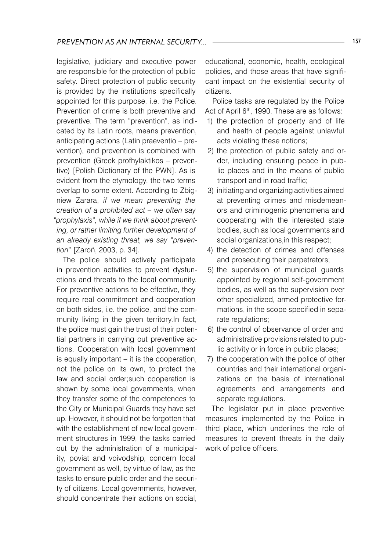legislative, judiciary and executive power are responsible for the protection of public safety. Direct protection of public security is provided by the institutions specifically appointed for this purpose, i.e. the Police. Prevention of crime is both preventive and preventive. The term "prevention", as indicated by its Latin roots, means prevention, anticipating actions (Latin praeventio – prevention), and prevention is combined with prevention (Greek profhylaktikos – preventive) [Polish Dictionary of the PWN]. As is evident from the etymology, the two terms overlap to some extent. According to Zbigniew Zarara, *if we mean preventing the creation of a prohibited act – we often say "prophylaxis", while if we think about preventing, or rather limiting further development of an already existing threat, we say "prevention*" [Żaroń, 2003, p. 34].

The police should actively participate in prevention activities to prevent dysfunctions and threats to the local community. For preventive actions to be effective, they require real commitment and cooperation on both sides, i.e. the police, and the community living in the given territory.In fact, the police must gain the trust of their potential partners in carrying out preventive actions. Cooperation with local government is equally important – it is the cooperation, not the police on its own, to protect the law and social order;such cooperation is shown by some local governments, when they transfer some of the competences to the City or Municipal Guards they have set up. However, it should not be forgotten that with the establishment of new local government structures in 1999, the tasks carried out by the administration of a municipality, poviat and voivodship, concern local government as well, by virtue of law, as the tasks to ensure public order and the security of citizens. Local governments, however, should concentrate their actions on social,

educational, economic, health, ecological policies, and those areas that have significant impact on the existential security of citizens.

Police tasks are regulated by the Police Act of April 6<sup>th</sup>, 1990. These are as follows:

- 1) the protection of property and of life and health of people against unlawful acts violating these notions;
- 2) the protection of public safety and order, including ensuring peace in public places and in the means of public transport and in road traffic;
- 3) initiating and organizing activities aimed at preventing crimes and misdemeanors and criminogenic phenomena and cooperating with the interested state bodies, such as local governments and social organizations, in this respect:
- 4) the detection of crimes and offenses and prosecuting their perpetrators;
- 5) the supervision of municipal guards appointed by regional self-government bodies, as well as the supervision over other specialized, armed protective formations, in the scope specified in separate regulations:
- 6) the control of observance of order and administrative provisions related to public activity or in force in public places;
- 7) the cooperation with the police of other countries and their international organizations on the basis of international agreements and arrangements and separate regulations.

The legislator put in place preventive measures implemented by the Police in third place, which underlines the role of measures to prevent threats in the daily work of police officers.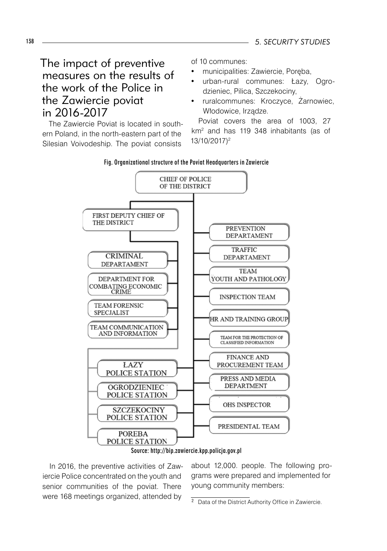# The impact of preventive measures on the results of the work of the Police in the Zawiercie poviat in 2016-2017

The Zawiercie Poviat is located in southern Poland, in the north-eastern part of the Silesian Voivodeship. The poviat consists

of 10 communes:

- municipalities: Zawiercie, Poręba,
- urban-rural communes: Łazy, Ogrodzieniec, Pilica, Szczekociny,
- ruralcommunes: Kroczyce, Żarnowiec, Włodowice, Irządze.

Poviat covers the area of 1003, 27 km<sup>2</sup> and has 119 348 inhabitants (as of 13/10/2017)<sup>2</sup>







In 2016, the preventive activities of Zawiercie Police concentrated on the youth and senior communities of the poviat. There were 168 meetings organized, attended by

about 12,000. people. The following programs were prepared and implemented for young community members: <sup>2</sup>

<sup>&</sup>lt;sup>2</sup> Data of the District Authority Office in Zawiercie.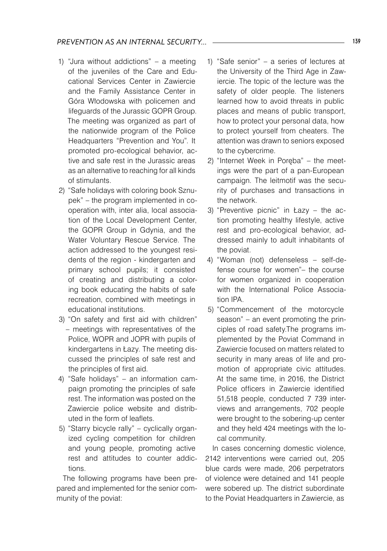- 1) "Jura without addictions" a meeting of the juveniles of the Care and Educational Services Center in Zawiercie and the Family Assistance Center in Góra Włodowska with policemen and lifeguards of the Jurassic GOPR Group. The meeting was organized as part of the nationwide program of the Police Headquarters "Prevention and You". It promoted pro-ecological behavior, active and safe rest in the Jurassic areas as an alternative to reaching for all kinds of stimulants.
- 2) "Safe holidays with coloring book Sznupek" – the program implemented in cooperation with, inter alia, local association of the Local Development Center, the GOPR Group in Gdynia, and the Water Voluntary Rescue Service. The action addressed to the youngest residents of the region - kindergarten and primary school pupils; it consisted of creating and distributing a coloring book educating the habits of safe recreation, combined with meetings in educational institutions.
- 3) "On safety and first aid with children" – meetings with representatives of the Police, WOPR and JOPR with pupils of kindergartens in Łazy. The meeting discussed the principles of safe rest and the principles of first aid.
- 4) "Safe holidays" an information campaign promoting the principles of safe rest. The information was posted on the Zawiercie police website and distributed in the form of leaflets.
- 5) "Starry bicycle rally" cyclically organized cycling competition for children and young people, promoting active rest and attitudes to counter addictions.

The following programs have been prepared and implemented for the senior community of the poviat:

- 1) "Safe senior" a series of lectures at the University of the Third Age in Zawiercie. The topic of the lecture was the safety of older people. The listeners learned how to avoid threats in public places and means of public transport, how to protect your personal data, how to protect yourself from cheaters. The attention was drawn to seniors exposed to the cybercrime.
- 2) "Internet Week in Poręba" the meetings were the part of a pan-European campaign. The leitmotif was the security of purchases and transactions in the network.
- 3) "Preventive picnic" in Łazy the action promoting healthy lifestyle, active rest and pro-ecological behavior, addressed mainly to adult inhabitants of the poviat.
- 4) "Woman (not) defenseless self-defense course for women"– the course for women organized in cooperation with the International Police Association IPA.
- 5) "Commencement of the motorcycle season" – an event promoting the principles of road safety.The programs implemented by the Poviat Command in Zawiercie focused on matters related to security in many areas of life and promotion of appropriate civic attitudes. At the same time, in 2016, the District Police officers in Zawiercie identified 51,518 people, conducted 7 739 interviews and arrangements, 702 people were brought to the sobering-up center and they held 424 meetings with the local community.

In cases concerning domestic violence, 2142 interventions were carried out, 205 blue cards were made, 206 perpetrators of violence were detained and 141 people were sobered up. The district subordinate to the Poviat Headquarters in Zawiercie, as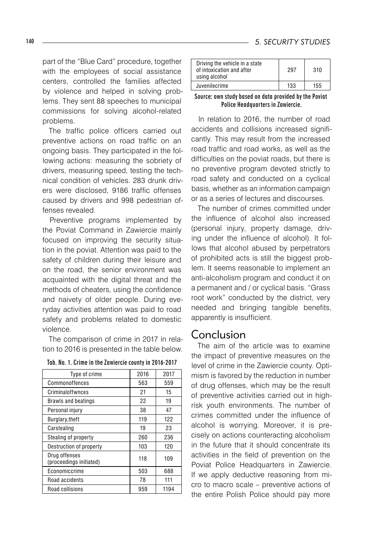part of the "Blue Card" procedure, together with the employees of social assistance centers, controlled the families affected by violence and helped in solving problems. They sent 88 speeches to municipal commissions for solving alcohol-related problems.

The traffic police officers carried out preventive actions on road traffic on an ongoing basis. They participated in the following actions: measuring the sobriety of drivers, measuring speed, testing the technical condition of vehicles. 283 drunk drivers were disclosed, 9186 traffic offenses caused by drivers and 998 pedestrian offenses revealed.

Preventive programs implemented by the Poviat Command in Zawiercie mainly focused on improving the security situation in the poviat. Attention was paid to the safety of children during their leisure and on the road, the senior environment was acquainted with the digital threat and the methods of cheaters, using the confidence and naivety of older people. During everyday activities attention was paid to road safety and problems related to domestic violence.

The comparison of crime in 2017 in relation to 2016 is presented in the table below.

|  |  |  | Tab. No. 1. Crime in the Zawiercie county in 2016-2017 |
|--|--|--|--------------------------------------------------------|
|--|--|--|--------------------------------------------------------|

| Type of crime                            | 2016 | 2017 |
|------------------------------------------|------|------|
| Commonoffences                           | 563  | 559  |
| Criminaloffwnces                         | 21   | 15   |
| <b>Brawls and beatings</b>               | 22   | 19   |
| Personal injury                          | 38   | 47   |
| Burglary, theft                          | 119  | 122  |
| Carstealing                              | 19   | 23   |
| Stealing of property                     | 260  | 236  |
| Destruction of property                  | 103  | 120  |
| Drug offenses<br>(proceedings initiated) | 118  | 109  |
| Economiccrime                            | 503  | 688  |
| Road accidents                           | 78   | 111  |
| Road collisions                          | 959  | 1194 |

| Driving the vehicle in a state<br>of intoxication and after<br>using alcohol | 297 | 310 |
|------------------------------------------------------------------------------|-----|-----|
| Juvenilecrime                                                                | 133 | 155 |
|                                                                              |     |     |

Source: own study based on data provided by the Poviat Police Headquarters in Zawiercie.

In relation to 2016, the number of road accidents and collisions increased significantly. This may result from the increased road traffic and road works, as well as the difficulties on the poviat roads, but there is no preventive program devoted strictly to road safety and conducted on a cyclical basis, whether as an information campaign or as a series of lectures and discourses.

The number of crimes committed under the influence of alcohol also increased (personal injury, property damage, driving under the influence of alcohol). It follows that alcohol abused by perpetrators of prohibited acts is still the biggest problem. It seems reasonable to implement an anti-alcoholism program and conduct it on a permanent and / or cyclical basis. "Grass root work" conducted by the district, very needed and bringing tangible benefits, apparently is insufficient.

### Conclusion

The aim of the article was to examine the impact of preventive measures on the level of crime in the Zawiercie county. Optimism is favored by the reduction in number of drug offenses, which may be the result of preventive activities carried out in highrisk youth environments. The number of crimes committed under the influence of alcohol is worrying. Moreover, it is precisely on actions counteracting alcoholism in the future that it should concentrate its activities in the field of prevention on the Poviat Police Headquarters in Zawiercie. If we apply deductive reasoning from micro to macro scale – preventive actions of the entire Polish Police should pay more